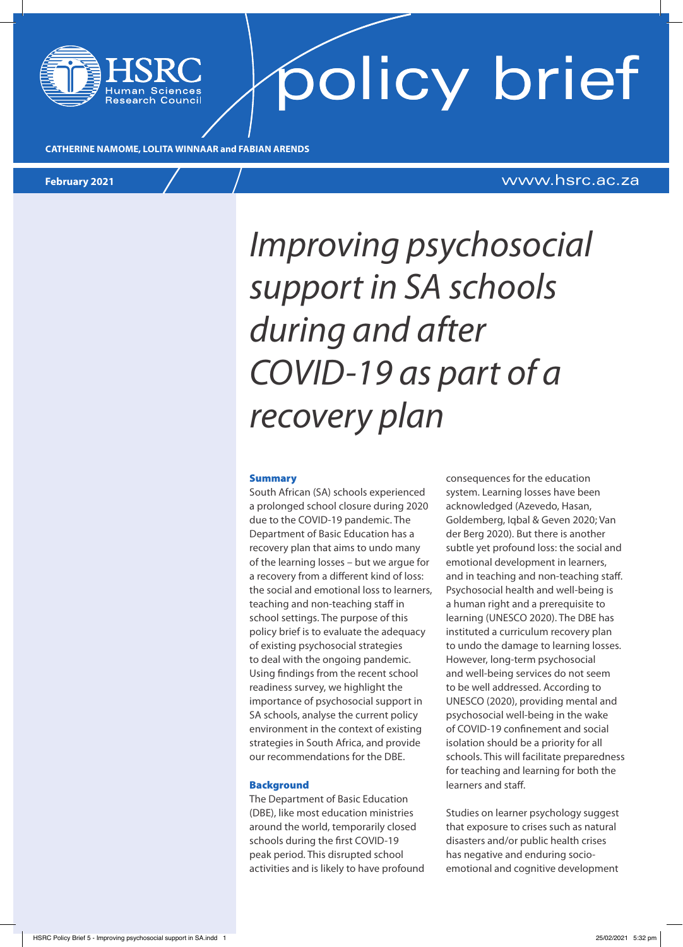# policy brief

**CATHERINE NAMOME, LOLITA WINNAAR and FABIAN ARENDS**

#### **February 2021** www.hsrc.ac.za

### *Improving psychosocial support in SA schools during and after COVID-19 as part of a recovery plan*

#### **Summary**

South African (SA) schools experienced a prolonged school closure during 2020 due to the COVID-19 pandemic. The Department of Basic Education has a recovery plan that aims to undo many of the learning losses – but we argue for a recovery from a different kind of loss: the social and emotional loss to learners, teaching and non-teaching staff in school settings. The purpose of this policy brief is to evaluate the adequacy of existing psychosocial strategies to deal with the ongoing pandemic. Using findings from the recent school readiness survey, we highlight the importance of psychosocial support in SA schools, analyse the current policy environment in the context of existing strategies in South Africa, and provide our recommendations for the DBE.

#### **Background**

The Department of Basic Education (DBE), like most education ministries around the world, temporarily closed schools during the first COVID-19 peak period. This disrupted school activities and is likely to have profound consequences for the education system. Learning losses have been acknowledged (Azevedo, Hasan, Goldemberg, Iqbal & Geven 2020; Van der Berg 2020). But there is another subtle yet profound loss: the social and emotional development in learners, and in teaching and non-teaching staff. Psychosocial health and well-being is a human right and a prerequisite to learning (UNESCO 2020). The DBE has instituted a curriculum recovery plan to undo the damage to learning losses. However, long-term psychosocial and well-being services do not seem to be well addressed. According to UNESCO (2020), providing mental and psychosocial well-being in the wake of COVID-19 confinement and social isolation should be a priority for all schools. This will facilitate preparedness for teaching and learning for both the learners and staff.

Studies on learner psychology suggest that exposure to crises such as natural disasters and/or public health crises has negative and enduring socioemotional and cognitive development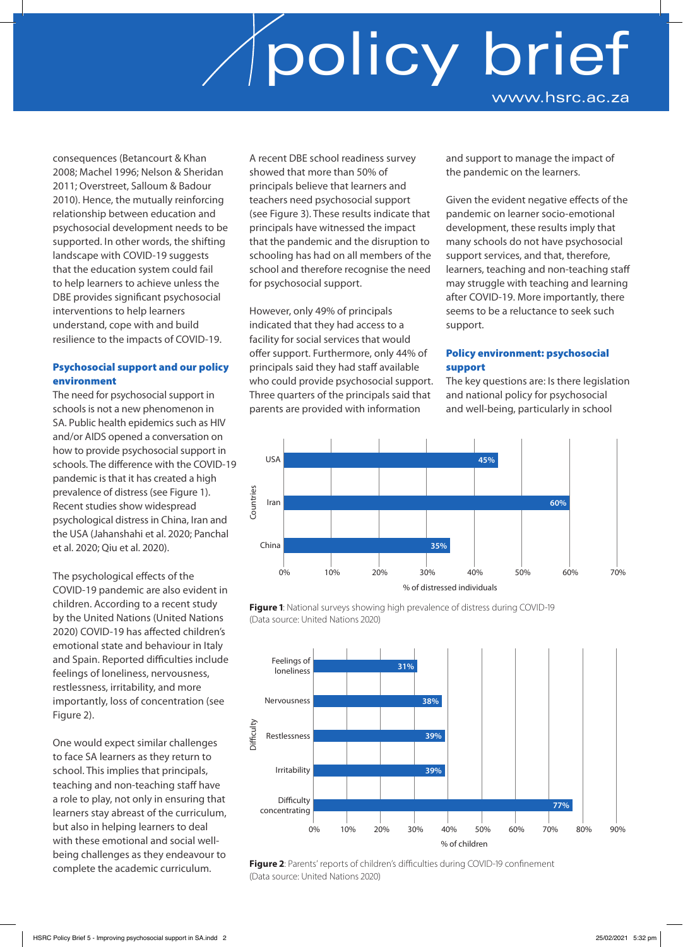consequences (Betancourt & Khan 2008; Machel 1996; Nelson & Sheridan 2011; Overstreet, Salloum & Badour 2010). Hence, the mutually reinforcing relationship between education and psychosocial development needs to be supported. In other words, the shifting landscape with COVID-19 suggests that the education system could fail to help learners to achieve unless the DBE provides significant psychosocial interventions to help learners understand, cope with and build resilience to the impacts of COVID-19.

#### Psychosocial support and our policy environment

The need for psychosocial support in schools is not a new phenomenon in SA. Public health epidemics such as HIV and/or AIDS opened a conversation on how to provide psychosocial support in schools. The difference with the COVID-19 pandemic is that it has created a high prevalence of distress (see Figure 1). Recent studies show widespread psychological distress in China, Iran and the USA (Jahanshahi et al. 2020; Panchal et al. 2020; Qiu et al. 2020).

The psychological effects of the COVID-19 pandemic are also evident in children. According to a recent study by the United Nations (United Nations 2020) COVID-19 has affected children's emotional state and behaviour in Italy and Spain. Reported difficulties include feelings of loneliness, nervousness, restlessness, irritability, and more importantly, loss of concentration (see Figure 2).

One would expect similar challenges to face SA learners as they return to school. This implies that principals, teaching and non-teaching staff have a role to play, not only in ensuring that learners stay abreast of the curriculum, but also in helping learners to deal with these emotional and social wellbeing challenges as they endeavour to complete the academic curriculum.

A recent DBE school readiness survey showed that more than 50% of principals believe that learners and teachers need psychosocial support (see Figure 3). These results indicate that principals have witnessed the impact that the pandemic and the disruption to schooling has had on all members of the school and therefore recognise the need for psychosocial support.

However, only 49% of principals indicated that they had access to a facility for social services that would offer support. Furthermore, only 44% of principals said they had staff available who could provide psychosocial support. Three quarters of the principals said that parents are provided with information

and support to manage the impact of the pandemic on the learners.

Given the evident negative effects of the pandemic on learner socio-emotional development, these results imply that many schools do not have psychosocial support services, and that, therefore, learners, teaching and non-teaching staff may struggle with teaching and learning after COVID-19. More importantly, there seems to be a reluctance to seek such support.

#### Policy environment: psychosocial support

The key questions are: Is there legislation and national policy for psychosocial and well-being, particularly in school



**Figure 1**: National surveys showing high prevalence of distress during COVID-19 (Data source: United Nations 2020)



**Figure 2**: Parents' reports of children's difficulties during COVID-19 confinement (Data source: United Nations 2020)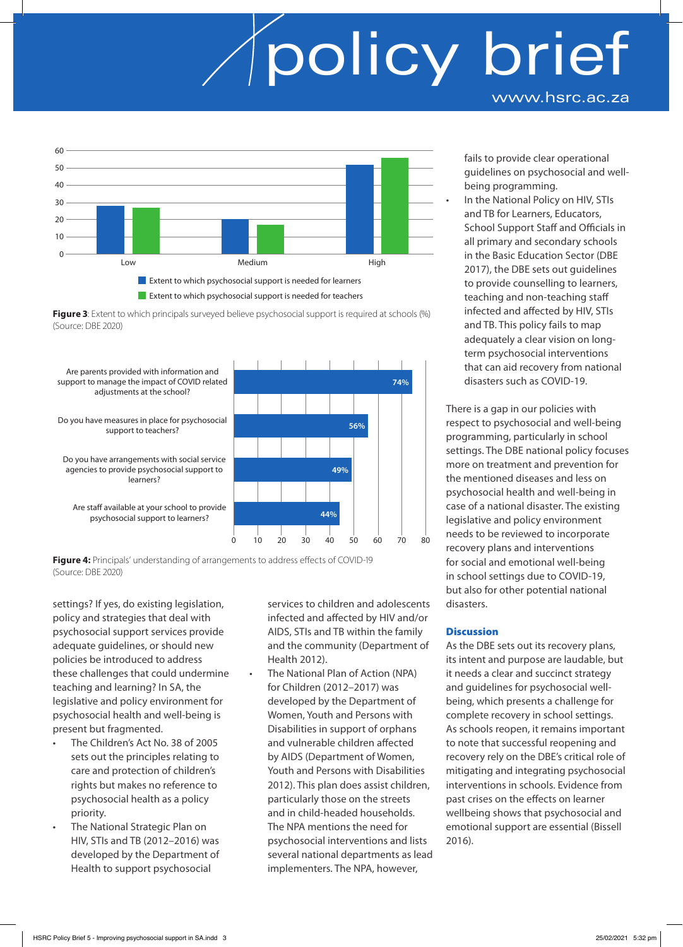

**Figure 3**: Extent to which principals surveyed believe psychosocial support is required at schools (%) (Source: DBE 2020)



**Figure 4:** Principals' understanding of arrangements to address effects of COVID-19 (Source: DBE 2020)

settings? If yes, do existing legislation, policy and strategies that deal with psychosocial support services provide adequate guidelines, or should new policies be introduced to address these challenges that could undermine teaching and learning? In SA, the legislative and policy environment for psychosocial health and well-being is present but fragmented.

- The Children's Act No. 38 of 2005 sets out the principles relating to care and protection of children's rights but makes no reference to psychosocial health as a policy priority.
- The National Strategic Plan on HIV, STIs and TB (2012–2016) was developed by the Department of Health to support psychosocial

services to children and adolescents infected and affected by HIV and/or AIDS, STIs and TB within the family and the community (Department of Health 2012).

The National Plan of Action (NPA) for Children (2012–2017) was developed by the Department of Women, Youth and Persons with Disabilities in support of orphans and vulnerable children affected by AIDS (Department of Women, Youth and Persons with Disabilities 2012). This plan does assist children, particularly those on the streets and in child-headed households. The NPA mentions the need for psychosocial interventions and lists several national departments as lead implementers. The NPA, however,

fails to provide clear operational guidelines on psychosocial and wellbeing programming.

In the National Policy on HIV, STIs and TB for Learners, Educators, School Support Staff and Officials in all primary and secondary schools in the Basic Education Sector (DBE 2017), the DBE sets out guidelines to provide counselling to learners, teaching and non-teaching staff infected and affected by HIV, STIs and TB. This policy fails to map adequately a clear vision on longterm psychosocial interventions that can aid recovery from national disasters such as COVID-19.

There is a gap in our policies with respect to psychosocial and well-being programming, particularly in school settings. The DBE national policy focuses more on treatment and prevention for the mentioned diseases and less on psychosocial health and well-being in case of a national disaster. The existing legislative and policy environment needs to be reviewed to incorporate recovery plans and interventions for social and emotional well-being in school settings due to COVID-19, but also for other potential national disasters.

#### **Discussion**

As the DBE sets out its recovery plans, its intent and purpose are laudable, but it needs a clear and succinct strategy and guidelines for psychosocial wellbeing, which presents a challenge for complete recovery in school settings. As schools reopen, it remains important to note that successful reopening and recovery rely on the DBE's critical role of mitigating and integrating psychosocial interventions in schools. Evidence from past crises on the effects on learner wellbeing shows that psychosocial and emotional support are essential (Bissell 2016).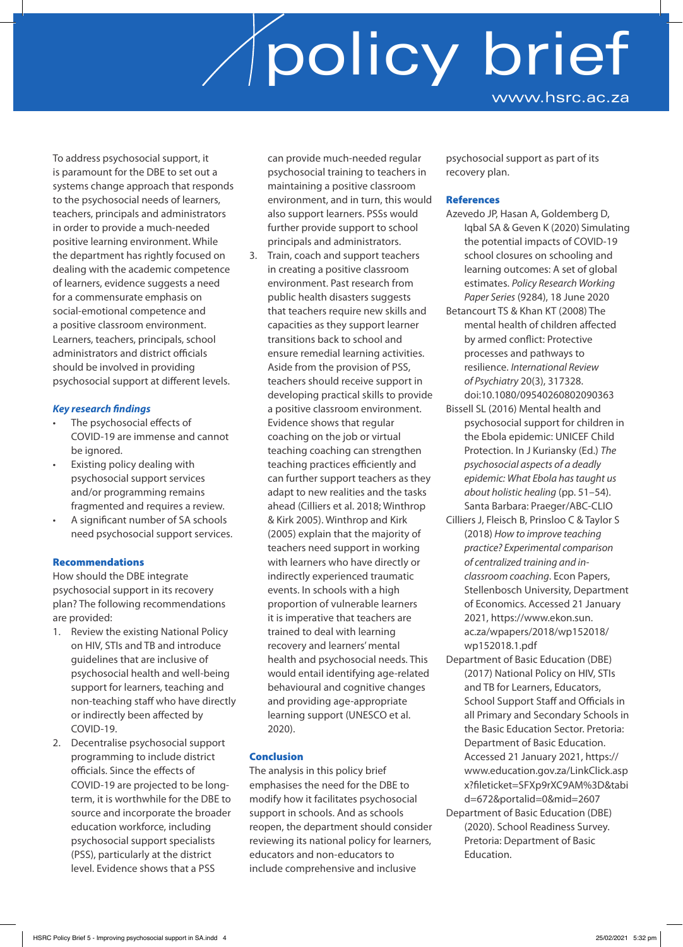To address psychosocial support, it is paramount for the DBE to set out a systems change approach that responds to the psychosocial needs of learners, teachers, principals and administrators in order to provide a much-needed positive learning environment. While the department has rightly focused on dealing with the academic competence of learners, evidence suggests a need for a commensurate emphasis on social-emotional competence and a positive classroom environment. Learners, teachers, principals, school administrators and district officials should be involved in providing psychosocial support at different levels.

#### *Key research findings*

- The psychosocial effects of COVID-19 are immense and cannot be ignored.
- Existing policy dealing with psychosocial support services and/or programming remains fragmented and requires a review.
- A significant number of SA schools need psychosocial support services.

#### Recommendations

How should the DBE integrate psychosocial support in its recovery plan? The following recommendations are provided:

- 1. Review the existing National Policy on HIV, STIs and TB and introduce guidelines that are inclusive of psychosocial health and well-being support for learners, teaching and non-teaching staff who have directly or indirectly been affected by COVID-19.
- 2. Decentralise psychosocial support programming to include district officials. Since the effects of COVID-19 are projected to be longterm, it is worthwhile for the DBE to source and incorporate the broader education workforce, including psychosocial support specialists (PSS), particularly at the district level. Evidence shows that a PSS

can provide much-needed regular psychosocial training to teachers in maintaining a positive classroom environment, and in turn, this would also support learners. PSSs would further provide support to school principals and administrators.

3. Train, coach and support teachers in creating a positive classroom environment. Past research from public health disasters suggests that teachers require new skills and capacities as they support learner transitions back to school and ensure remedial learning activities. Aside from the provision of PSS, teachers should receive support in developing practical skills to provide a positive classroom environment. Evidence shows that regular coaching on the job or virtual teaching coaching can strengthen teaching practices efficiently and can further support teachers as they adapt to new realities and the tasks ahead (Cilliers et al. 2018; Winthrop & Kirk 2005). Winthrop and Kirk (2005) explain that the majority of teachers need support in working with learners who have directly or indirectly experienced traumatic events. In schools with a high proportion of vulnerable learners it is imperative that teachers are trained to deal with learning recovery and learners' mental health and psychosocial needs. This would entail identifying age-related behavioural and cognitive changes and providing age-appropriate learning support (UNESCO et al. 2020).

#### Conclusion

The analysis in this policy brief emphasises the need for the DBE to modify how it facilitates psychosocial support in schools. And as schools reopen, the department should consider reviewing its national policy for learners, educators and non-educators to include comprehensive and inclusive

psychosocial support as part of its recovery plan.

#### References

- Azevedo JP, Hasan A, Goldemberg D, Iqbal SA & Geven K (2020) Simulating the potential impacts of COVID-19 school closures on schooling and learning outcomes: A set of global estimates. *Policy Research Working Paper Series* (9284), 18 June 2020
- Betancourt TS & Khan KT (2008) The mental health of children affected by armed conflict: Protective processes and pathways to resilience. *International Review of Psychiatry* 20(3), 317328. doi:10.1080/09540260802090363
- Bissell SL (2016) Mental health and psychosocial support for children in the Ebola epidemic: UNICEF Child Protection. In J Kuriansky (Ed.) *The psychosocial aspects of a deadly epidemic: What Ebola has taught us about holistic healing* (pp. 51–54). Santa Barbara: Praeger/ABC-CLIO
- Cilliers J, Fleisch B, Prinsloo C & Taylor S (2018) *How to improve teaching practice? Experimental comparison of centralized training and inclassroom coaching*. Econ Papers, Stellenbosch University, Department of Economics. Accessed 21 January 2021, https://www.ekon.sun. ac.za/wpapers/2018/wp152018/ wp152018.1.pdf
- Department of Basic Education (DBE) (2017) National Policy on HIV, STIs and TB for Learners, Educators, School Support Staff and Officials in all Primary and Secondary Schools in the Basic Education Sector. Pretoria: Department of Basic Education. Accessed 21 January 2021, https:// www.education.gov.za/LinkClick.asp x?fileticket=SFXp9rXC9AM%3D&tabi d=672&portalid=0&mid=2607
- Department of Basic Education (DBE) (2020). School Readiness Survey. Pretoria: Department of Basic Education.